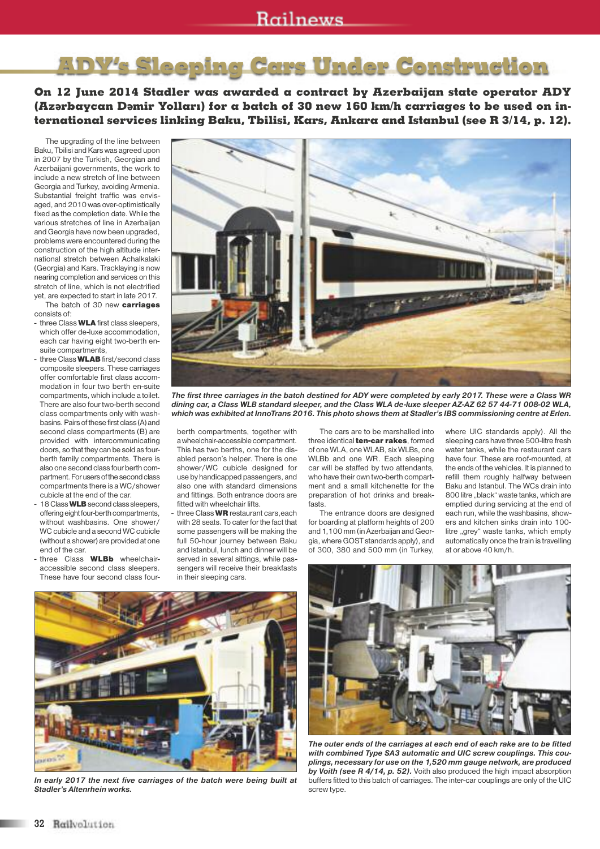## **ADY's Sleeping Cars Under Construction**

**On 12 June 2014 Stadler was awarded a contract by Azerbaijan state operator ADY** (Azərbaycan Dəmir Yolları) for a batch of 30 new 160 km/h carriages to be used on in**ternational services linking Baku, Tbilisi, Kars, Ankara and Istanbul (see R 3/14, p. 12).**

The upgrading of the line between Baku, Tbilisi and Kars was agreed upon in 2007 by the Turkish, Georgian and Azerbaijani governments, the work to include a new stretch of line between Georgia and Turkey, avoiding Armenia. Substantial freight traffic was envisaged, and 2010 was over-optimistically fixed as the completion date. While the various stretches of line in Azerbaijan and Georgia have now been upgraded, problems were encountered during the construction of the high altitude international stretch between Achalkalaki (Georgia) and Kars. Tracklaying is now nearing completion and services on this stretch of line, which is not electrified yet, are expected to start in late 2017.

The batch of 30 new **carriages** consists of:

- three Class **WLA** first class sleepers, which offer de-luxe accommodation, each car having eight two-berth ensuite compartments,
- threeClass **WLAB**first/second class composite sleepers. These carriages offer comfortable first class accommodation in four two berth en-suite compartments, which include a toilet. There are also four two-berth second class compartments only with washbasins.Pairs of these first class (A) and second class compartments (B) are provided with intercommunicating doors, so that they can be sold as fourberth family compartments. There is also one second class four berth compartment. For users of the second class compartments there is a WC/shower cubicle at the end of the car.
- 18Class**WLB**second class sleepers, offering eight four-berth compartments, without washbasins. One shower/ WC cubicle and a second WC cubicle (without a shower) are provided at one end of the car.
- three Class **WLBb** wheelchairaccessible second class sleepers. These have four second class four-

The first three carriages in the batch destined for ADY were completed by early 2017. These were a Class WR dining car, a Class WLB standard sleeper, and the Class WLA de-luxe sleeper AZ-AZ 62 57 44-71 008-02 WLA, which was exhibited at InnoTrans 2016. This photo shows them at Stadler's IBS commissioning centre at Erlen.

berth compartments, together with a wheelchair-accessible compartment. This has two berths, one for the disabled person's helper. There is one shower/WC cubicle designed for use by handicapped passengers, and also one with standard dimensions and fittings. Both entrance doors are fitted with wheelchair lifts.

- three Class **WR**restaurant cars,each with 28 seats. To cater for the fact that some passengers will be making the full 50-hour journey between Baku and Istanbul, lunch and dinner will be served in several sittings, while passengers will receive their breakfasts in their sleeping cars.

The cars are to be marshalled into three identical**ten-car rakes**, formed of one WLA, one WLAB, six WLBs, one WLBb and one WR. Each sleeping car will be staffed by two attendants, who have their own two-berth compartment and a small kitchenette for the preparation of hot drinks and breakfasts.

The entrance doors are designed for boarding at platform heights of 200 and 1,100 mm (in Azerbaijan and Georgia,where GOST standards apply), and of 300, 380 and 500 mm (in Turkey,

where UIC standards apply). All the sleeping cars have three 500-litre fresh water tanks, while the restaurant cars have four. These are roof-mounted, at the ends of the vehicles. It is planned to refill them roughly halfway between Baku and Istanbul. The WCs drain into 800 litre "black" waste tanks, which are emptied during servicing at the end of each run, while the washbasins, showers and kitchen sinks drain into 100 litre "grey" waste tanks, which empty automatically once the train is travelling at or above 40 km/h.



*In early 2017 the next five carriages of the batch were being built at Stadler's Altenrhein works.*



*The outer ends of the carriages at each end of each rake are to be fitted with combined Type SA3 automatic and UIC screw couplings. This couplings, necessary for use on the 1,520 mm gauge network, are produced by Voith (see R 4/14, p. 52).* Voith also produced the high impact absorption buffers fitted to this batch of carriages. The inter-car couplings are only of the UIC screw type.